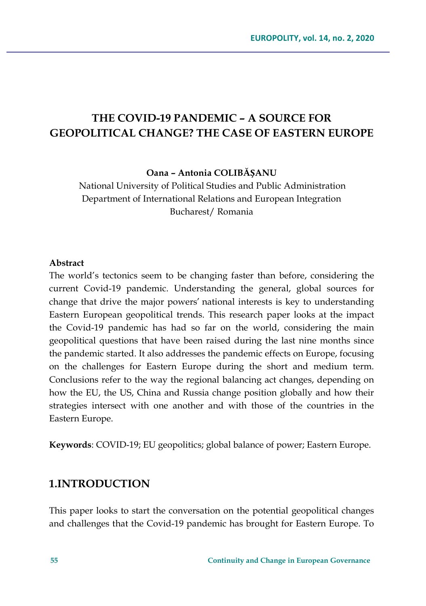# **THE COVID-19 PANDEMIC – A SOURCE FOR GEOPOLITICAL CHANGE? THE CASE OF EASTERN EUROPE**

**Oana – Antonia COLIBĂȘANU**

National University of Political Studies and Public Administration Department of International Relations and European Integration Bucharest/ Romania

#### **Abstract**

The world's tectonics seem to be changing faster than before, considering the current Covid-19 pandemic. Understanding the general, global sources for change that drive the major powers' national interests is key to understanding Eastern European geopolitical trends. This research paper looks at the impact the Covid-19 pandemic has had so far on the world, considering the main geopolitical questions that have been raised during the last nine months since the pandemic started. It also addresses the pandemic effects on Europe, focusing on the challenges for Eastern Europe during the short and medium term. Conclusions refer to the way the regional balancing act changes, depending on how the EU, the US, China and Russia change position globally and how their strategies intersect with one another and with those of the countries in the Eastern Europe.

**Keywords**: COVID-19; EU geopolitics; global balance of power; Eastern Europe.

## **1.INTRODUCTION**

This paper looks to start the conversation on the potential geopolitical changes and challenges that the Covid-19 pandemic has brought for Eastern Europe. To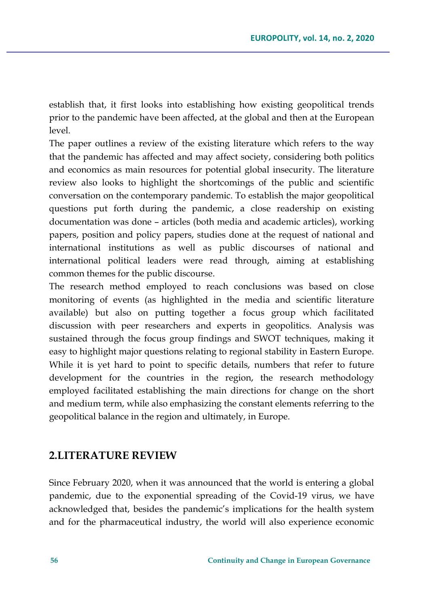establish that, it first looks into establishing how existing geopolitical trends prior to the pandemic have been affected, at the global and then at the European level.

The paper outlines a review of the existing literature which refers to the way that the pandemic has affected and may affect society, considering both politics and economics as main resources for potential global insecurity. The literature review also looks to highlight the shortcomings of the public and scientific conversation on the contemporary pandemic. To establish the major geopolitical questions put forth during the pandemic, a close readership on existing documentation was done – articles (both media and academic articles), working papers, position and policy papers, studies done at the request of national and international institutions as well as public discourses of national and international political leaders were read through, aiming at establishing common themes for the public discourse.

The research method employed to reach conclusions was based on close monitoring of events (as highlighted in the media and scientific literature available) but also on putting together a focus group which facilitated discussion with peer researchers and experts in geopolitics. Analysis was sustained through the focus group findings and SWOT techniques, making it easy to highlight major questions relating to regional stability in Eastern Europe. While it is yet hard to point to specific details, numbers that refer to future development for the countries in the region, the research methodology employed facilitated establishing the main directions for change on the short and medium term, while also emphasizing the constant elements referring to the geopolitical balance in the region and ultimately, in Europe.

### **2.LITERATURE REVIEW**

Since February 2020, when it was announced that the world is entering a global pandemic, due to the exponential spreading of the Covid-19 virus, we have acknowledged that, besides the pandemic's implications for the health system and for the pharmaceutical industry, the world will also experience economic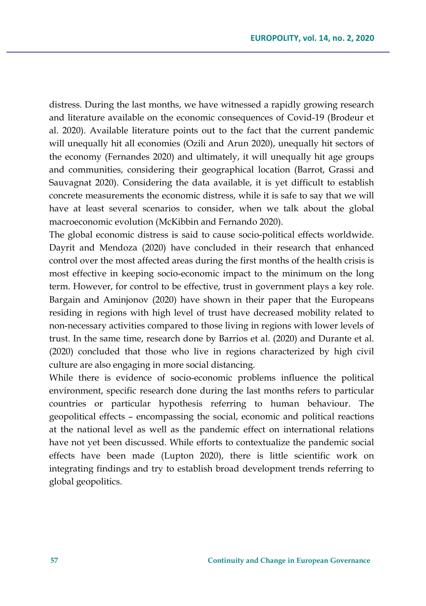distress. During the last months, we have witnessed a rapidly growing research and literature available on the economic consequences of Covid-19 (Brodeur et al. 2020). Available literature points out to the fact that the current pandemic will unequally hit all economies (Ozili and Arun 2020), unequally hit sectors of the economy (Fernandes 2020) and ultimately, it will unequally hit age groups and communities, considering their geographical location (Barrot, Grassi and Sauvagnat 2020). Considering the data available, it is yet difficult to establish concrete measurements the economic distress, while it is safe to say that we will have at least several scenarios to consider, when we talk about the global macroeconomic evolution (McKibbin and Fernando 2020).

The global economic distress is said to cause socio-political effects worldwide. Dayrit and Mendoza (2020) have concluded in their research that enhanced control over the most affected areas during the first months of the health crisis is most effective in keeping socio-economic impact to the minimum on the long term. However, for control to be effective, trust in government plays a key role. Bargain and Aminjonov (2020) have shown in their paper that the Europeans residing in regions with high level of trust have decreased mobility related to non-necessary activities compared to those living in regions with lower levels of trust. In the same time, research done by Barrios et al. (2020) and Durante et al. (2020) concluded that those who live in regions characterized by high civil culture are also engaging in more social distancing.

While there is evidence of socio-economic problems influence the political environment, specific research done during the last months refers to particular countries or particular hypothesis referring to human behaviour. The geopolitical effects – encompassing the social, economic and political reactions at the national level as well as the pandemic effect on international relations have not yet been discussed. While efforts to contextualize the pandemic social effects have been made (Lupton 2020), there is little scientific work on integrating findings and try to establish broad development trends referring to global geopolitics.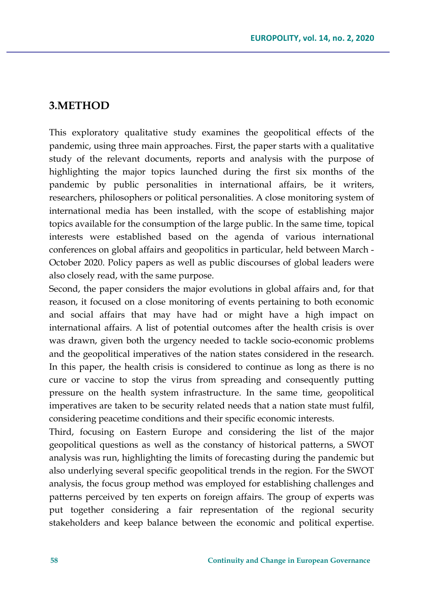### **3.METHOD**

This exploratory qualitative study examines the geopolitical effects of the pandemic, using three main approaches. First, the paper starts with a qualitative study of the relevant documents, reports and analysis with the purpose of highlighting the major topics launched during the first six months of the pandemic by public personalities in international affairs, be it writers, researchers, philosophers or political personalities. A close monitoring system of international media has been installed, with the scope of establishing major topics available for the consumption of the large public. In the same time, topical interests were established based on the agenda of various international conferences on global affairs and geopolitics in particular, held between March - October 2020. Policy papers as well as public discourses of global leaders were also closely read, with the same purpose.

Second, the paper considers the major evolutions in global affairs and, for that reason, it focused on a close monitoring of events pertaining to both economic and social affairs that may have had or might have a high impact on international affairs. A list of potential outcomes after the health crisis is over was drawn, given both the urgency needed to tackle socio-economic problems and the geopolitical imperatives of the nation states considered in the research. In this paper, the health crisis is considered to continue as long as there is no cure or vaccine to stop the virus from spreading and consequently putting pressure on the health system infrastructure. In the same time, geopolitical imperatives are taken to be security related needs that a nation state must fulfil, considering peacetime conditions and their specific economic interests.

Third, focusing on Eastern Europe and considering the list of the major geopolitical questions as well as the constancy of historical patterns, a SWOT analysis was run, highlighting the limits of forecasting during the pandemic but also underlying several specific geopolitical trends in the region. For the SWOT analysis, the focus group method was employed for establishing challenges and patterns perceived by ten experts on foreign affairs. The group of experts was put together considering a fair representation of the regional security stakeholders and keep balance between the economic and political expertise.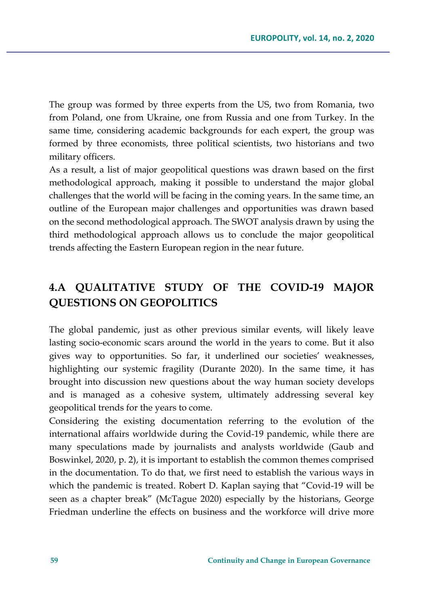The group was formed by three experts from the US, two from Romania, two from Poland, one from Ukraine, one from Russia and one from Turkey. In the same time, considering academic backgrounds for each expert, the group was formed by three economists, three political scientists, two historians and two military officers.

As a result, a list of major geopolitical questions was drawn based on the first methodological approach, making it possible to understand the major global challenges that the world will be facing in the coming years. In the same time, an outline of the European major challenges and opportunities was drawn based on the second methodological approach. The SWOT analysis drawn by using the third methodological approach allows us to conclude the major geopolitical trends affecting the Eastern European region in the near future.

## **4.A QUALITATIVE STUDY OF THE COVID-19 MAJOR QUESTIONS ON GEOPOLITICS**

The global pandemic, just as other previous similar events, will likely leave lasting socio-economic scars around the world in the years to come. But it also gives way to opportunities. So far, it underlined our societies' weaknesses, highlighting our systemic fragility (Durante 2020). In the same time, it has brought into discussion new questions about the way human society develops and is managed as a cohesive system, ultimately addressing several key geopolitical trends for the years to come.

Considering the existing documentation referring to the evolution of the international affairs worldwide during the Covid-19 pandemic, while there are many speculations made by journalists and analysts worldwide (Gaub and Boswinkel, 2020, p. 2), it is important to establish the common themes comprised in the documentation. To do that, we first need to establish the various ways in which the pandemic is treated. Robert D. Kaplan saying that "Covid-19 will be seen as a chapter break" (McTague 2020) especially by the historians, George Friedman underline the effects on business and the workforce will drive more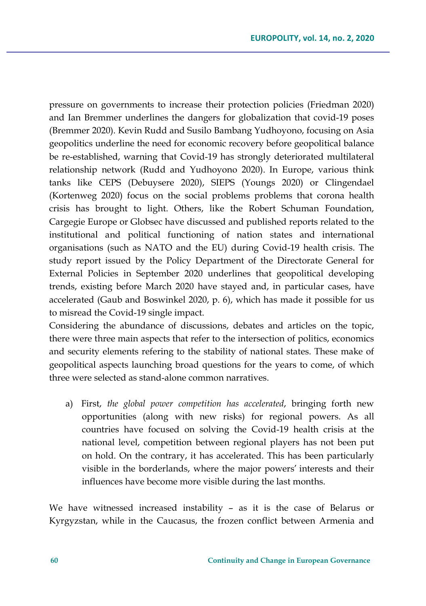pressure on governments to increase their protection policies (Friedman 2020) and Ian Bremmer underlines the dangers for globalization that covid-19 poses (Bremmer 2020). Kevin Rudd and Susilo Bambang Yudhoyono, focusing on Asia geopolitics underline the need for economic recovery before geopolitical balance be re-established, warning that Covid-19 has strongly deteriorated multilateral relationship network (Rudd and Yudhoyono 2020). In Europe, various think tanks like CEPS (Debuysere 2020), SIEPS (Youngs 2020) or Clingendael (Kortenweg 2020) focus on the social problems problems that corona health crisis has brought to light. Others, like the Robert Schuman Foundation, Cargegie Europe or Globsec have discussed and published reports related to the institutional and political functioning of nation states and international organisations (such as NATO and the EU) during Covid-19 health crisis. The study report issued by the Policy Department of the Directorate General for External Policies in September 2020 underlines that geopolitical developing trends, existing before March 2020 have stayed and, in particular cases, have accelerated (Gaub and Boswinkel 2020, p. 6), which has made it possible for us to misread the Covid-19 single impact.

Considering the abundance of discussions, debates and articles on the topic, there were three main aspects that refer to the intersection of politics, economics and security elements refering to the stability of national states. These make of geopolitical aspects launching broad questions for the years to come, of which three were selected as stand-alone common narratives.

a) First, *the global power competition has accelerated*, bringing forth new opportunities (along with new risks) for regional powers. As all countries have focused on solving the Covid-19 health crisis at the national level, competition between regional players has not been put on hold. On the contrary, it has accelerated. This has been particularly visible in the borderlands, where the major powers' interests and their influences have become more visible during the last months.

We have witnessed increased instability – as it is the case of Belarus or Kyrgyzstan, while in the Caucasus, the frozen conflict between Armenia and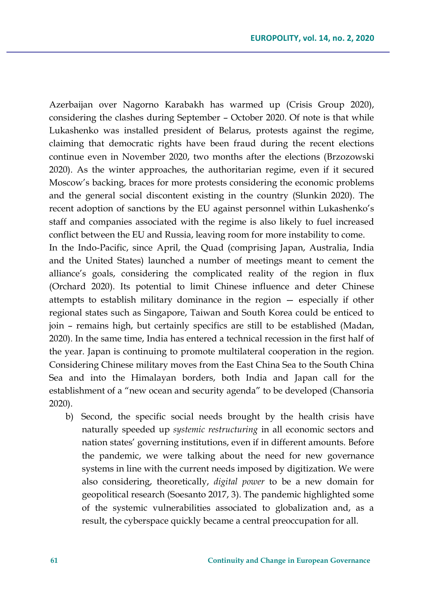Azerbaijan over Nagorno Karabakh has warmed up (Crisis Group 2020), considering the clashes during September – October 2020. Of note is that while Lukashenko was installed president of Belarus, protests against the regime, claiming that democratic rights have been fraud during the recent elections continue even in November 2020, two months after the elections (Brzozowski 2020). As the winter approaches, the authoritarian regime, even if it secured Moscow's backing, braces for more protests considering the economic problems and the general social discontent existing in the country (Slunkin 2020). The recent adoption of sanctions by the EU against personnel within Lukashenko's staff and companies associated with the regime is also likely to fuel increased conflict between the EU and Russia, leaving room for more instability to come.

In the Indo-Pacific, since April, the Quad (comprising Japan, Australia, India and the United States) launched a number of meetings meant to cement the alliance's goals, considering the complicated reality of the region in flux (Orchard 2020). Its potential to limit Chinese influence and deter Chinese attempts to establish military dominance in the region — especially if other regional states such as Singapore, Taiwan and South Korea could be enticed to join – remains high, but certainly specifics are still to be established (Madan, 2020). In the same time, India has entered a technical recession in the first half of the year. Japan is continuing to promote multilateral cooperation in the region. Considering Chinese military moves from the East China Sea to the South China Sea and into the Himalayan borders, both India and Japan call for the establishment of a "new ocean and security agenda" to be developed (Chansoria 2020).

b) Second, the specific social needs brought by the health crisis have naturally speeded up *systemic restructuring* in all economic sectors and nation states' governing institutions, even if in different amounts. Before the pandemic, we were talking about the need for new governance systems in line with the current needs imposed by digitization. We were also considering, theoretically, *digital power* to be a new domain for geopolitical research (Soesanto 2017, 3). The pandemic highlighted some of the systemic vulnerabilities associated to globalization and, as a result, the cyberspace quickly became a central preoccupation for all.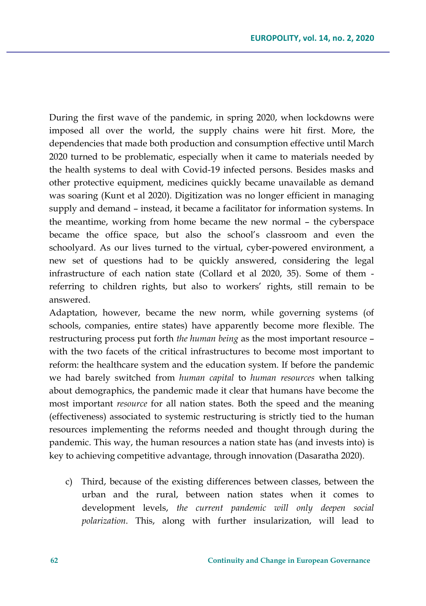During the first wave of the pandemic, in spring 2020, when lockdowns were imposed all over the world, the supply chains were hit first. More, the dependencies that made both production and consumption effective until March 2020 turned to be problematic, especially when it came to materials needed by the health systems to deal with Covid-19 infected persons. Besides masks and other protective equipment, medicines quickly became unavailable as demand was soaring (Kunt et al 2020). Digitization was no longer efficient in managing supply and demand – instead, it became a facilitator for information systems. In the meantime, working from home became the new normal – the cyberspace became the office space, but also the school's classroom and even the schoolyard. As our lives turned to the virtual, cyber-powered environment, a new set of questions had to be quickly answered, considering the legal infrastructure of each nation state (Collard et al 2020, 35). Some of them referring to children rights, but also to workers' rights, still remain to be answered.

Adaptation, however, became the new norm, while governing systems (of schools, companies, entire states) have apparently become more flexible. The restructuring process put forth *the human being* as the most important resource – with the two facets of the critical infrastructures to become most important to reform: the healthcare system and the education system. If before the pandemic we had barely switched from *human capital* to *human resources* when talking about demographics, the pandemic made it clear that humans have become the most important *resource* for all nation states. Both the speed and the meaning (effectiveness) associated to systemic restructuring is strictly tied to the human resources implementing the reforms needed and thought through during the pandemic. This way, the human resources a nation state has (and invests into) is key to achieving competitive advantage, through innovation (Dasaratha 2020).

c) Third, because of the existing differences between classes, between the urban and the rural, between nation states when it comes to development levels, *the current pandemic will only deepen social polarization*. This, along with further insularization, will lead to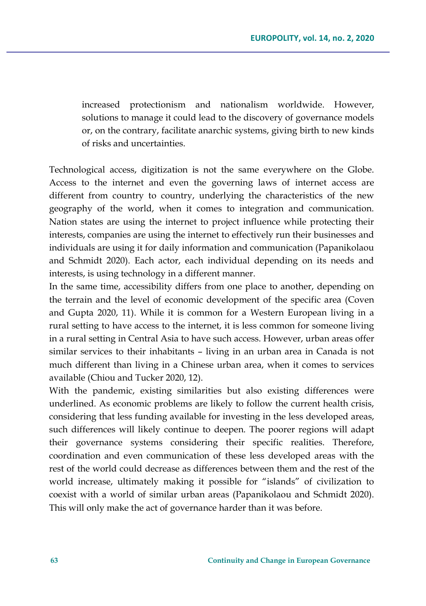increased protectionism and nationalism worldwide. However, solutions to manage it could lead to the discovery of governance models or, on the contrary, facilitate anarchic systems, giving birth to new kinds of risks and uncertainties.

Technological access, digitization is not the same everywhere on the Globe. Access to the internet and even the governing laws of internet access are different from country to country, underlying the characteristics of the new geography of the world, when it comes to integration and communication. Nation states are using the internet to project influence while protecting their interests, companies are using the internet to effectively run their businesses and individuals are using it for daily information and communication (Papanikolaou and Schmidt 2020). Each actor, each individual depending on its needs and interests, is using technology in a different manner.

In the same time, accessibility differs from one place to another, depending on the terrain and the level of economic development of the specific area (Coven and Gupta 2020, 11). While it is common for a Western European living in a rural setting to have access to the internet, it is less common for someone living in a rural setting in Central Asia to have such access. However, urban areas offer similar services to their inhabitants – living in an urban area in Canada is not much different than living in a Chinese urban area, when it comes to services available (Chiou and Tucker 2020, 12).

With the pandemic, existing similarities but also existing differences were underlined. As economic problems are likely to follow the current health crisis, considering that less funding available for investing in the less developed areas, such differences will likely continue to deepen. The poorer regions will adapt their governance systems considering their specific realities. Therefore, coordination and even communication of these less developed areas with the rest of the world could decrease as differences between them and the rest of the world increase, ultimately making it possible for "islands" of civilization to coexist with a world of similar urban areas (Papanikolaou and Schmidt 2020). This will only make the act of governance harder than it was before.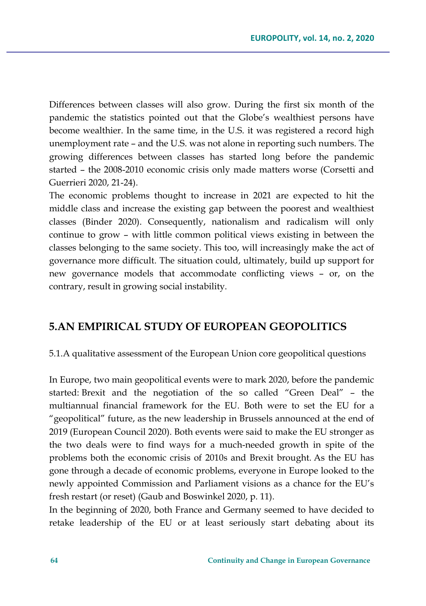Differences between classes will also grow. During the first six month of the pandemic the statistics pointed out that the Globe's wealthiest persons have become wealthier. In the same time, in the U.S. it was registered a record high unemployment rate – and the U.S. was not alone in reporting such numbers. The growing differences between classes has started long before the pandemic started – the 2008-2010 economic crisis only made matters worse (Corsetti and Guerrieri 2020, 21-24).

The economic problems thought to increase in 2021 are expected to hit the middle class and increase the existing gap between the poorest and wealthiest classes (Binder 2020). Consequently, nationalism and radicalism will only continue to grow – with little common political views existing in between the classes belonging to the same society. This too, will increasingly make the act of governance more difficult. The situation could, ultimately, build up support for new governance models that accommodate conflicting views – or, on the contrary, result in growing social instability.

### **5.AN EMPIRICAL STUDY OF EUROPEAN GEOPOLITICS**

5.1.A qualitative assessment of the European Union core geopolitical questions

In Europe, two main geopolitical events were to mark 2020, before the pandemic started: Brexit and the negotiation of the so called "Green Deal" – the multiannual financial framework for the EU. Both were to set the EU for a "geopolitical" future, as the new leadership in Brussels announced at the end of 2019 (European Council 2020). Both events were said to make the EU stronger as the two deals were to find ways for a much-needed growth in spite of the problems both the economic crisis of 2010s and Brexit brought. As the EU has gone through a decade of economic problems, everyone in Europe looked to the newly appointed Commission and Parliament visions as a chance for the EU's fresh restart (or reset) (Gaub and Boswinkel 2020, p. 11).

In the beginning of 2020, both France and Germany seemed to have decided to retake leadership of the EU or at least seriously start debating about its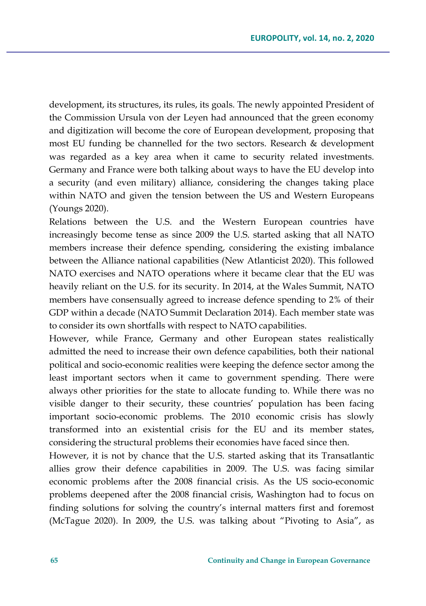development, its structures, its rules, its goals. The newly appointed President of the Commission Ursula von der Leyen had announced that the green economy and digitization will become the core of European development, proposing that most EU funding be channelled for the two sectors. Research & development was regarded as a key area when it came to security related investments. Germany and France were both talking about ways to have the EU develop into a security (and even military) alliance, considering the changes taking place within NATO and given the tension between the US and Western Europeans (Youngs 2020).

Relations between the U.S. and the Western European countries have increasingly become tense as since 2009 the U.S. started asking that all NATO members increase their defence spending, considering the existing imbalance between the Alliance national capabilities (New Atlanticist 2020). This followed NATO exercises and NATO operations where it became clear that the EU was heavily reliant on the U.S. for its security. In 2014, at the Wales Summit, NATO members have consensually agreed to increase defence spending to 2% of their GDP within a decade (NATO Summit Declaration 2014). Each member state was to consider its own shortfalls with respect to NATO capabilities.

However, while France, Germany and other European states realistically admitted the need to increase their own defence capabilities, both their national political and socio-economic realities were keeping the defence sector among the least important sectors when it came to government spending. There were always other priorities for the state to allocate funding to. While there was no visible danger to their security, these countries' population has been facing important socio-economic problems. The 2010 economic crisis has slowly transformed into an existential crisis for the EU and its member states, considering the structural problems their economies have faced since then.

However, it is not by chance that the U.S. started asking that its Transatlantic allies grow their defence capabilities in 2009. The U.S. was facing similar economic problems after the 2008 financial crisis. As the US socio-economic problems deepened after the 2008 financial crisis, Washington had to focus on finding solutions for solving the country's internal matters first and foremost (McTague 2020). In 2009, the U.S. was talking about "Pivoting to Asia", as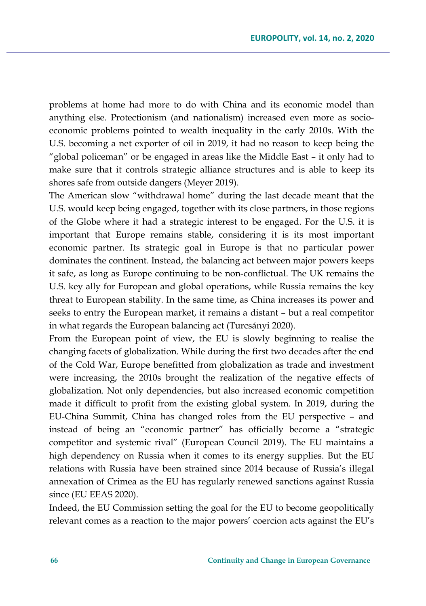problems at home had more to do with China and its economic model than anything else. Protectionism (and nationalism) increased even more as socioeconomic problems pointed to wealth inequality in the early 2010s. With the U.S. becoming a net exporter of oil in 2019, it had no reason to keep being the "global policeman" or be engaged in areas like the Middle East – it only had to make sure that it controls strategic alliance structures and is able to keep its shores safe from outside dangers (Meyer 2019).

The American slow "withdrawal home" during the last decade meant that the U.S. would keep being engaged, together with its close partners, in those regions of the Globe where it had a strategic interest to be engaged. For the U.S. it is important that Europe remains stable, considering it is its most important economic partner. Its strategic goal in Europe is that no particular power dominates the continent. Instead, the balancing act between major powers keeps it safe, as long as Europe continuing to be non-conflictual. The UK remains the U.S. key ally for European and global operations, while Russia remains the key threat to European stability. In the same time, as China increases its power and seeks to entry the European market, it remains a distant – but a real competitor in what regards the European balancing act (Turcsányi 2020).

From the European point of view, the EU is slowly beginning to realise the changing facets of globalization. While during the first two decades after the end of the Cold War, Europe benefitted from globalization as trade and investment were increasing, the 2010s brought the realization of the negative effects of globalization. Not only dependencies, but also increased economic competition made it difficult to profit from the existing global system. In 2019, during the EU-China Summit, China has changed roles from the EU perspective – and instead of being an "economic partner" has officially become a "strategic competitor and systemic rival" (European Council 2019). The EU maintains a high dependency on Russia when it comes to its energy supplies. But the EU relations with Russia have been strained since 2014 because of Russia's illegal annexation of Crimea as the EU has regularly renewed sanctions against Russia since (EU EEAS 2020).

Indeed, the EU Commission setting the goal for the EU to become geopolitically relevant comes as a reaction to the major powers' coercion acts against the EU's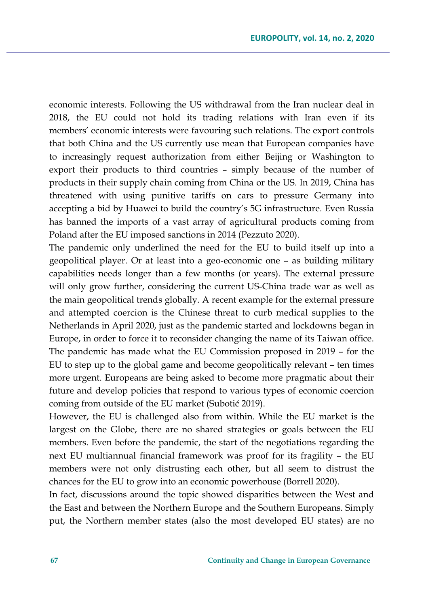economic interests. Following the US withdrawal from the Iran nuclear deal in 2018, the EU could not hold its trading relations with Iran even if its members' economic interests were favouring such relations. The export controls that both China and the US currently use mean that European companies have to increasingly request authorization from either Beijing or Washington to export their products to third countries – simply because of the number of products in their supply chain coming from China or the US. In 2019, China has threatened with using punitive tariffs on cars to pressure Germany into accepting a bid by Huawei to build the country's 5G infrastructure. Even Russia has banned the imports of a vast array of agricultural products coming from Poland after the EU imposed sanctions in 2014 (Pezzuto 2020).

The pandemic only underlined the need for the EU to build itself up into a geopolitical player. Or at least into a geo-economic one – as building military capabilities needs longer than a few months (or years). The external pressure will only grow further, considering the current US-China trade war as well as the main geopolitical trends globally. A recent example for the external pressure and attempted coercion is the Chinese threat to curb medical supplies to the Netherlands in April 2020, just as the pandemic started and lockdowns began in Europe, in order to force it to reconsider changing the name of its Taiwan office. The pandemic has made what the EU Commission proposed in 2019 – for the EU to step up to the global game and become geopolitically relevant – ten times more urgent. Europeans are being asked to become more pragmatic about their future and develop policies that respond to various types of economic coercion coming from outside of the EU market (Subotić 2019).

However, the EU is challenged also from within. While the EU market is the largest on the Globe, there are no shared strategies or goals between the EU members. Even before the pandemic, the start of the negotiations regarding the next EU multiannual financial framework was proof for its fragility – the EU members were not only distrusting each other, but all seem to distrust the chances for the EU to grow into an economic powerhouse (Borrell 2020).

In fact, discussions around the topic showed disparities between the West and the East and between the Northern Europe and the Southern Europeans. Simply put, the Northern member states (also the most developed EU states) are no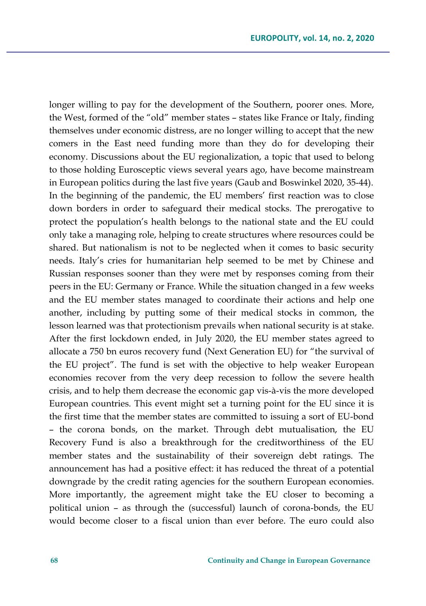longer willing to pay for the development of the Southern, poorer ones. More, the West, formed of the "old" member states – states like France or Italy, finding themselves under economic distress, are no longer willing to accept that the new comers in the East need funding more than they do for developing their economy. Discussions about the EU regionalization, a topic that used to belong to those holding Eurosceptic views several years ago, have become mainstream in European politics during the last five years (Gaub and Boswinkel 2020, 35-44). In the beginning of the pandemic, the EU members' first reaction was to close down borders in order to safeguard their medical stocks. The prerogative to protect the population's health belongs to the national state and the EU could only take a managing role, helping to create structures where resources could be shared. But nationalism is not to be neglected when it comes to basic security needs. Italy's cries for humanitarian help seemed to be met by Chinese and Russian responses sooner than they were met by responses coming from their peers in the EU: Germany or France. While the situation changed in a few weeks and the EU member states managed to coordinate their actions and help one another, including by putting some of their medical stocks in common, the lesson learned was that protectionism prevails when national security is at stake. After the first lockdown ended, in July 2020, the EU member states agreed to allocate a 750 bn euros recovery fund (Next Generation EU) for "the survival of the EU project". The fund is set with the objective to help weaker European economies recover from the very deep recession to follow the severe health crisis, and to help them decrease the economic gap vis-à-vis the more developed European countries. This event might set a turning point for the EU since it is the first time that the member states are committed to issuing a sort of EU-bond – the corona bonds, on the market. Through debt mutualisation, the EU Recovery Fund is also a breakthrough for the creditworthiness of the EU member states and the sustainability of their sovereign debt ratings. The announcement has had a positive effect: it has reduced the threat of a potential downgrade by the credit rating agencies for the southern European economies. More importantly, the agreement might take the EU closer to becoming a political union – as through the (successful) launch of corona-bonds, the EU would become closer to a fiscal union than ever before. The euro could also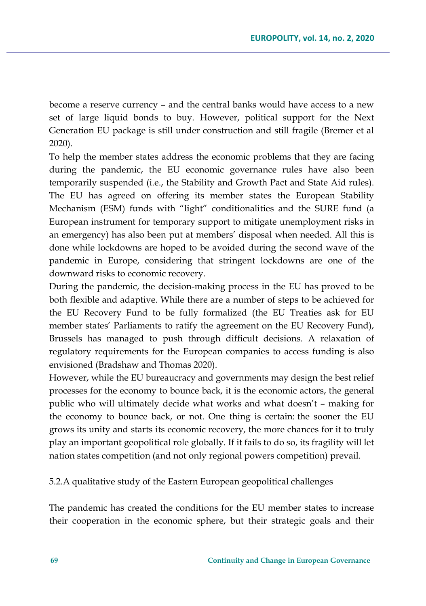become a reserve currency – and the central banks would have access to a new set of large liquid bonds to buy. However, political support for the Next Generation EU package is still under construction and still fragile (Bremer et al 2020).

To help the member states address the economic problems that they are facing during the pandemic, the EU economic governance rules have also been temporarily suspended (i.e., the Stability and Growth Pact and State Aid rules). The EU has agreed on offering its member states the European Stability Mechanism (ESM) funds with "light" conditionalities and the SURE fund (a European instrument for temporary support to mitigate unemployment risks in an emergency) has also been put at members' disposal when needed. All this is done while lockdowns are hoped to be avoided during the second wave of the pandemic in Europe, considering that stringent lockdowns are one of the downward risks to economic recovery.

During the pandemic, the decision-making process in the EU has proved to be both flexible and adaptive. While there are a number of steps to be achieved for the EU Recovery Fund to be fully formalized (the EU Treaties ask for EU member states' Parliaments to ratify the agreement on the EU Recovery Fund), Brussels has managed to push through difficult decisions. A relaxation of regulatory requirements for the European companies to access funding is also envisioned (Bradshaw and Thomas 2020).

However, while the EU bureaucracy and governments may design the best relief processes for the economy to bounce back, it is the economic actors, the general public who will ultimately decide what works and what doesn't – making for the economy to bounce back, or not. One thing is certain: the sooner the EU grows its unity and starts its economic recovery, the more chances for it to truly play an important geopolitical role globally. If it fails to do so, its fragility will let nation states competition (and not only regional powers competition) prevail.

5.2.A qualitative study of the Eastern European geopolitical challenges

The pandemic has created the conditions for the EU member states to increase their cooperation in the economic sphere, but their strategic goals and their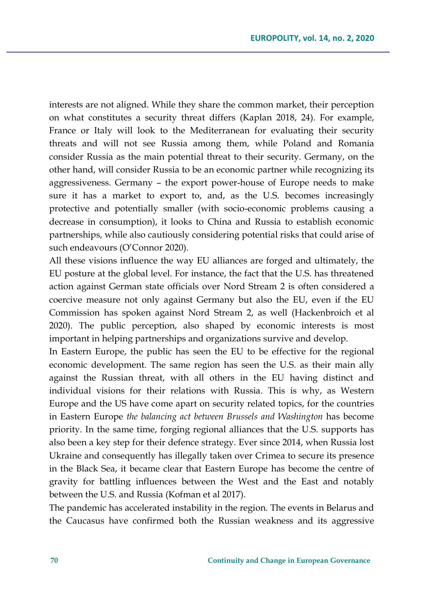interests are not aligned. While they share the common market, their perception on what constitutes a security threat differs (Kaplan 2018, 24). For example, France or Italy will look to the Mediterranean for evaluating their security threats and will not see Russia among them, while Poland and Romania consider Russia as the main potential threat to their security. Germany, on the other hand, will consider Russia to be an economic partner while recognizing its aggressiveness. Germany – the export power-house of Europe needs to make sure it has a market to export to, and, as the U.S. becomes increasingly protective and potentially smaller (with socio-economic problems causing a decrease in consumption), it looks to China and Russia to establish economic partnerships, while also cautiously considering potential risks that could arise of such endeavours (O'Connor 2020).

All these visions influence the way EU alliances are forged and ultimately, the EU posture at the global level. For instance, the fact that the U.S. has threatened action against German state officials over Nord Stream 2 is often considered a coercive measure not only against Germany but also the EU, even if the EU Commission has spoken against Nord Stream 2, as well (Hackenbroich et al 2020). The public perception, also shaped by economic interests is most important in helping partnerships and organizations survive and develop.

In Eastern Europe, the public has seen the EU to be effective for the regional economic development. The same region has seen the U.S. as their main ally against the Russian threat, with all others in the EU having distinct and individual visions for their relations with Russia. This is why, as Western Europe and the US have come apart on security related topics, for the countries in Eastern Europe *the balancing act between Brussels and Washington* has become priority. In the same time, forging regional alliances that the U.S. supports has also been a key step for their defence strategy. Ever since 2014, when Russia lost Ukraine and consequently has illegally taken over Crimea to secure its presence in the Black Sea, it became clear that Eastern Europe has become the centre of gravity for battling influences between the West and the East and notably between the U.S. and Russia (Kofman et al 2017).

The pandemic has accelerated instability in the region. The events in Belarus and the Caucasus have confirmed both the Russian weakness and its aggressive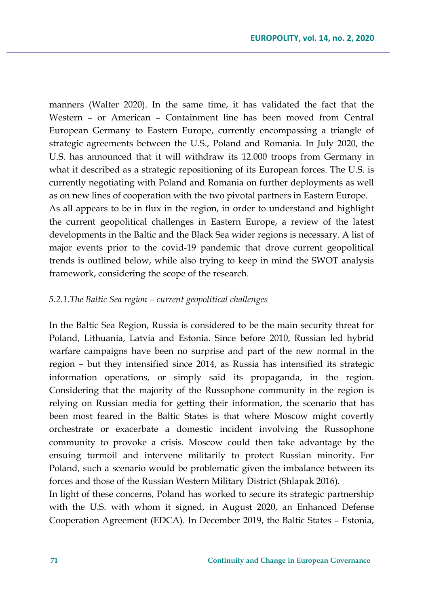manners (Walter 2020). In the same time, it has validated the fact that the Western – or American – Containment line has been moved from Central European Germany to Eastern Europe, currently encompassing a triangle of strategic agreements between the U.S., Poland and Romania. In July 2020, the U.S. has announced that it will withdraw its 12.000 troops from Germany in what it described as a strategic repositioning of its European forces. The U.S. is currently negotiating with Poland and Romania on further deployments as well as on new lines of cooperation with the two pivotal partners in Eastern Europe. As all appears to be in flux in the region, in order to understand and highlight the current geopolitical challenges in Eastern Europe, a review of the latest developments in the Baltic and the Black Sea wider regions is necessary. A list of

major events prior to the covid-19 pandemic that drove current geopolitical trends is outlined below, while also trying to keep in mind the SWOT analysis framework, considering the scope of the research.

#### *5.2.1.The Baltic Sea region – current geopolitical challenges*

In the Baltic Sea Region, Russia is considered to be the main security threat for Poland, Lithuania, Latvia and Estonia. Since before 2010, Russian led hybrid warfare campaigns have been no surprise and part of the new normal in the region – but they intensified since 2014, as Russia has intensified its strategic information operations, or simply said its propaganda, in the region. Considering that the majority of the Russophone community in the region is relying on Russian media for getting their information, the scenario that has been most feared in the Baltic States is that where Moscow might covertly orchestrate or exacerbate a domestic incident involving the Russophone community to provoke a crisis. Moscow could then take advantage by the ensuing turmoil and intervene militarily to protect Russian minority. For Poland, such a scenario would be problematic given the imbalance between its forces and those of the Russian Western Military District (Shlapak 2016).

In light of these concerns, Poland has worked to secure its strategic partnership with the U.S. with whom it signed, in August 2020, an Enhanced Defense Cooperation Agreement (EDCA). In December 2019, the Baltic States – Estonia,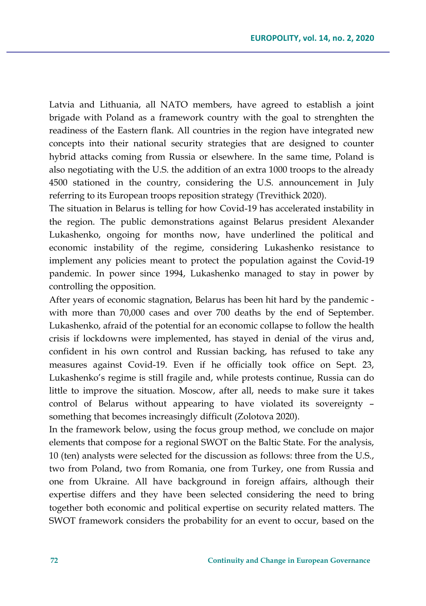Latvia and Lithuania, all NATO members, have agreed to establish a joint brigade with Poland as a framework country with the goal to strenghten the readiness of the Eastern flank. All countries in the region have integrated new concepts into their national security strategies that are designed to counter hybrid attacks coming from Russia or elsewhere. In the same time, Poland is also negotiating with the U.S. the addition of an extra 1000 troops to the already 4500 stationed in the country, considering the U.S. announcement in July referring to its European troops reposition strategy (Trevithick 2020).

The situation in Belarus is telling for how Covid-19 has accelerated instability in the region. The public demonstrations against Belarus president Alexander Lukashenko, ongoing for months now, have underlined the political and economic instability of the regime, considering Lukashenko resistance to implement any policies meant to protect the population against the Covid-19 pandemic. In power since 1994, Lukashenko managed to stay in power by controlling the opposition.

After years of economic stagnation, Belarus has been hit hard by the pandemic with more than 70,000 cases and over 700 deaths by the end of September. Lukashenko, afraid of the potential for an economic collapse to follow the health crisis if lockdowns were implemented, has stayed in denial of the virus and, confident in his own control and Russian backing, has refused to take any measures against Covid-19. Even if he officially took office on Sept. 23, Lukashenko's regime is still fragile and, while protests continue, Russia can do little to improve the situation. Moscow, after all, needs to make sure it takes control of Belarus without appearing to have violated its sovereignty – something that becomes increasingly difficult (Zolotova 2020).

In the framework below, using the focus group method, we conclude on major elements that compose for a regional SWOT on the Baltic State. For the analysis, 10 (ten) analysts were selected for the discussion as follows: three from the U.S., two from Poland, two from Romania, one from Turkey, one from Russia and one from Ukraine. All have background in foreign affairs, although their expertise differs and they have been selected considering the need to bring together both economic and political expertise on security related matters. The SWOT framework considers the probability for an event to occur, based on the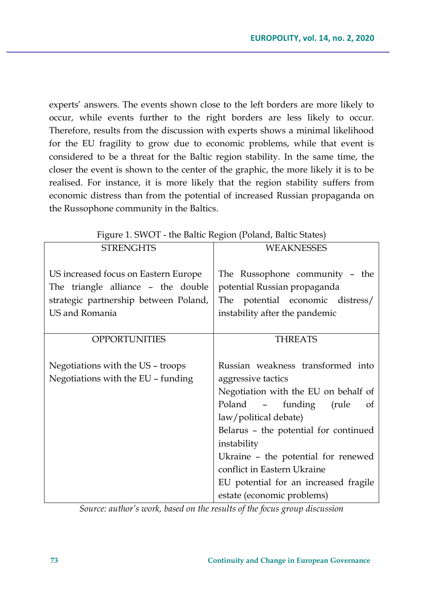experts' answers. The events shown close to the left borders are more likely to occur, while events further to the right borders are less likely to occur. Therefore, results from the discussion with experts shows a minimal likelihood for the EU fragility to grow due to economic problems, while that event is considered to be a threat for the Baltic region stability. In the same time, the closer the event is shown to the center of the graphic, the more likely it is to be realised. For instance, it is more likely that the region stability suffers from economic distress than from the potential of increased Russian propaganda on the Russophone community in the Baltics.

| Figure 1. SWOT - the Baltic Region (Poland, Baltic States) |                                       |
|------------------------------------------------------------|---------------------------------------|
| <b>STRENGHTS</b>                                           | <b>WEAKNESSES</b>                     |
|                                                            |                                       |
| US increased focus on Eastern Europe                       | The Russophone community - the        |
| The triangle alliance - the double                         | potential Russian propaganda          |
| strategic partnership between Poland,                      | The potential economic distress/      |
| US and Romania                                             | instability after the pandemic        |
|                                                            |                                       |
| <b>OPPORTUNITIES</b>                                       | <b>THREATS</b>                        |
|                                                            |                                       |
| Negotiations with the US - troops                          | Russian weakness transformed into     |
| Negotiations with the EU - funding                         | aggressive tactics                    |
|                                                            | Negotiation with the EU on behalf of  |
|                                                            | Poland - funding<br>(rule)<br>of      |
|                                                            | law/political debate)                 |
|                                                            | Belarus - the potential for continued |
|                                                            | instability                           |
|                                                            |                                       |
|                                                            | Ukraine - the potential for renewed   |
|                                                            | conflict in Eastern Ukraine           |
|                                                            | EU potential for an increased fragile |

*Source: author's work, based on the results of the focus group discussion*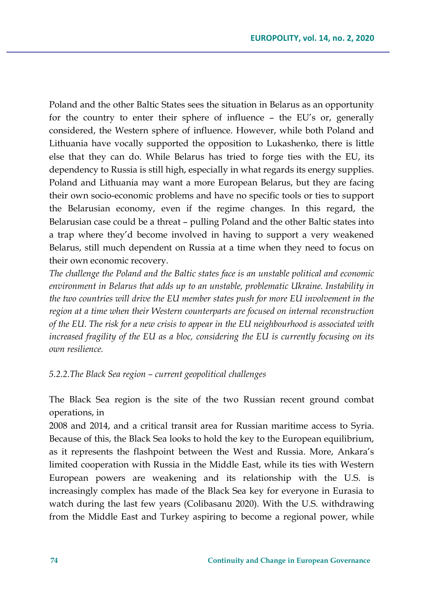Poland and the other Baltic States sees the situation in Belarus as an opportunity for the country to enter their sphere of influence – the EU's or, generally considered, the Western sphere of influence. However, while both Poland and Lithuania have vocally supported the opposition to Lukashenko, there is little else that they can do. While Belarus has tried to forge ties with the EU, its dependency to Russia is still high, especially in what regards its energy supplies. Poland and Lithuania may want a more European Belarus, but they are facing their own socio-economic problems and have no specific tools or ties to support the Belarusian economy, even if the regime changes. In this regard, the Belarusian case could be a threat – pulling Poland and the other Baltic states into a trap where they'd become involved in having to support a very weakened Belarus, still much dependent on Russia at a time when they need to focus on their own economic recovery.

*The challenge the Poland and the Baltic states face is an unstable political and economic environment in Belarus that adds up to an unstable, problematic Ukraine. Instability in the two countries will drive the EU member states push for more EU involvement in the region at a time when their Western counterparts are focused on internal reconstruction of the EU. The risk for a new crisis to appear in the EU neighbourhood is associated with increased fragility of the EU as a bloc, considering the EU is currently focusing on its own resilience.*

#### *5.2.2.The Black Sea region – current geopolitical challenges*

The Black Sea region is the site of the two Russian recent ground combat operations, in

2008 and 2014, and a critical transit area for Russian maritime access to Syria. Because of this, the Black Sea looks to hold the key to the European equilibrium, as it represents the flashpoint between the West and Russia. More, Ankara's limited cooperation with Russia in the Middle East, while its ties with Western European powers are weakening and its relationship with the U.S. is increasingly complex has made of the Black Sea key for everyone in Eurasia to watch during the last few years (Colibasanu 2020). With the U.S. withdrawing from the Middle East and Turkey aspiring to become a regional power, while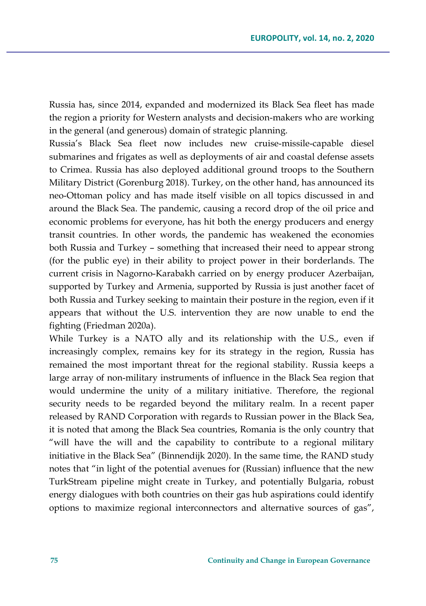Russia has, since 2014, expanded and modernized its Black Sea fleet has made the region a priority for Western analysts and decision-makers who are working in the general (and generous) domain of strategic planning.

Russia's Black Sea fleet now includes new cruise-missile-capable diesel submarines and frigates as well as deployments of air and coastal defense assets to Crimea. Russia has also deployed additional ground troops to the Southern Military District (Gorenburg 2018). Turkey, on the other hand, has announced its neo-Ottoman policy and has made itself visible on all topics discussed in and around the Black Sea. The pandemic, causing a record drop of the oil price and economic problems for everyone, has hit both the energy producers and energy transit countries. In other words, the pandemic has weakened the economies both Russia and Turkey – something that increased their need to appear strong (for the public eye) in their ability to project power in their borderlands. The current crisis in Nagorno-Karabakh carried on by energy producer Azerbaijan, supported by Turkey and Armenia, supported by Russia is just another facet of both Russia and Turkey seeking to maintain their posture in the region, even if it appears that without the U.S. intervention they are now unable to end the fighting (Friedman 2020a).

While Turkey is a NATO ally and its relationship with the U.S., even if increasingly complex, remains key for its strategy in the region, Russia has remained the most important threat for the regional stability. Russia keeps a large array of non-military instruments of influence in the Black Sea region that would undermine the unity of a military initiative. Therefore, the regional security needs to be regarded beyond the military realm. In a recent paper released by RAND Corporation with regards to Russian power in the Black Sea, it is noted that among the Black Sea countries, Romania is the only country that "will have the will and the capability to contribute to a regional military initiative in the Black Sea" (Binnendijk 2020). In the same time, the RAND study notes that "in light of the potential avenues for (Russian) influence that the new TurkStream pipeline might create in Turkey, and potentially Bulgaria, robust energy dialogues with both countries on their gas hub aspirations could identify options to maximize regional interconnectors and alternative sources of gas",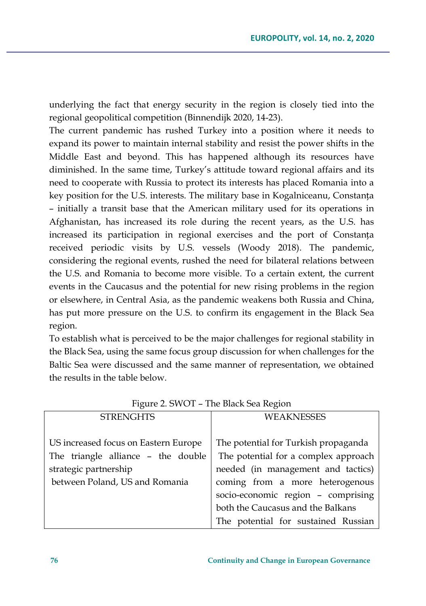underlying the fact that energy security in the region is closely tied into the regional geopolitical competition (Binnendijk 2020, 14-23).

The current pandemic has rushed Turkey into a position where it needs to expand its power to maintain internal stability and resist the power shifts in the Middle East and beyond. This has happened although its resources have diminished. In the same time, Turkey's attitude toward regional affairs and its need to cooperate with Russia to protect its interests has placed Romania into a key position for the U.S. interests. The military base in Kogalniceanu, Constanța – initially a transit base that the American military used for its operations in Afghanistan, has increased its role during the recent years, as the U.S. has increased its participation in regional exercises and the port of Constanța received periodic visits by U.S. vessels (Woody 2018). The pandemic, considering the regional events, rushed the need for bilateral relations between the U.S. and Romania to become more visible. To a certain extent, the current events in the Caucasus and the potential for new rising problems in the region or elsewhere, in Central Asia, as the pandemic weakens both Russia and China, has put more pressure on the U.S. to confirm its engagement in the Black Sea region.

To establish what is perceived to be the major challenges for regional stability in the Black Sea, using the same focus group discussion for when challenges for the Baltic Sea were discussed and the same manner of representation, we obtained the results in the table below.

| <b>STRENGHTS</b>                                                                                                                      | <b>WEAKNESSES</b>                                                                                                                                                                                                                                                       |
|---------------------------------------------------------------------------------------------------------------------------------------|-------------------------------------------------------------------------------------------------------------------------------------------------------------------------------------------------------------------------------------------------------------------------|
| US increased focus on Eastern Europe<br>The triangle alliance - the double<br>strategic partnership<br>between Poland, US and Romania | The potential for Turkish propaganda<br>The potential for a complex approach<br>needed (in management and tactics)<br>coming from a more heterogenous<br>socio-economic region - comprising<br>both the Caucasus and the Balkans<br>The potential for sustained Russian |

Figure 2. SWOT – The Black Sea Region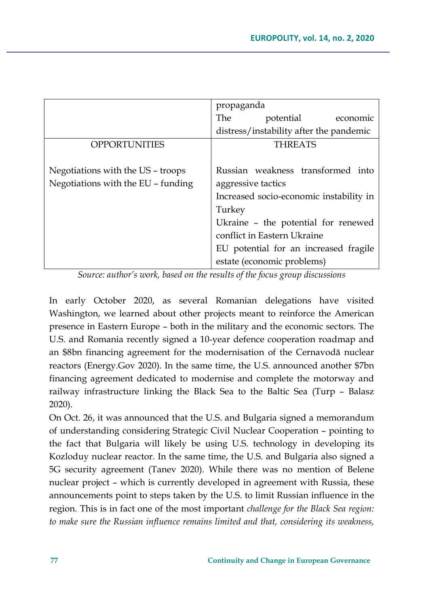|                                    | propaganda                              |
|------------------------------------|-----------------------------------------|
|                                    | The<br>potential economic               |
|                                    | distress/instability after the pandemic |
| <b>OPPORTUNITIES</b>               | <b>THREATS</b>                          |
|                                    |                                         |
| Negotiations with the US - troops  | Russian weakness transformed into       |
| Negotiations with the EU - funding | aggressive tactics                      |
|                                    | Increased socio-economic instability in |
|                                    | Turkey                                  |
|                                    | Ukraine - the potential for renewed     |
|                                    | conflict in Eastern Ukraine             |
|                                    | EU potential for an increased fragile   |
|                                    | estate (economic problems)              |

*Source: author's work, based on the results of the focus group discussions*

In early October 2020, as several Romanian delegations have visited Washington, we learned about other projects meant to reinforce the American presence in Eastern Europe – both in the military and the economic sectors. The U.S. and Romania recently signed a 10-year defence cooperation roadmap and an \$8bn financing agreement for the modernisation of the Cernavodă nuclear reactors (Energy.Gov 2020). In the same time, the U.S. announced another \$7bn financing agreement dedicated to modernise and complete the motorway and railway infrastructure linking the Black Sea to the Baltic Sea (Turp – Balasz 2020).

On Oct. 26, it was announced that the U.S. and Bulgaria signed a memorandum of understanding considering Strategic Civil Nuclear Cooperation – pointing to the fact that Bulgaria will likely be using U.S. technology in developing its Kozloduy nuclear reactor. In the same time, the U.S. and Bulgaria also signed a 5G security agreement (Tanev 2020). While there was no mention of Belene nuclear project – which is currently developed in agreement with Russia, these announcements point to steps taken by the U.S. to limit Russian influence in the region. This is in fact one of the most important *challenge for the Black Sea region: to make sure the Russian influence remains limited and that, considering its weakness,*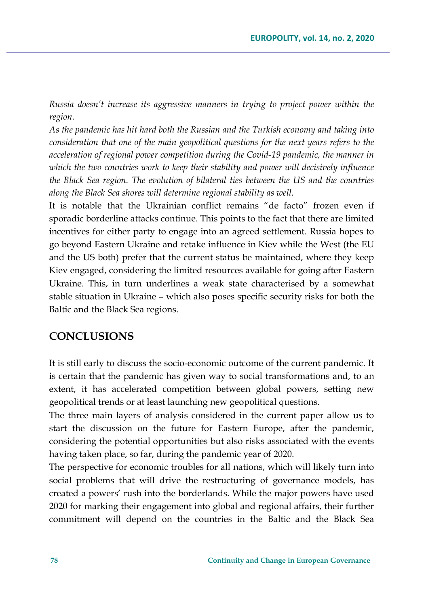*Russia doesn't increase its aggressive manners in trying to project power within the region.*

*As the pandemic has hit hard both the Russian and the Turkish economy and taking into consideration that one of the main geopolitical questions for the next years refers to the acceleration of regional power competition during the Covid-19 pandemic, the manner in which the two countries work to keep their stability and power will decisively influence the Black Sea region. The evolution of bilateral ties between the US and the countries along the Black Sea shores will determine regional stability as well.*

It is notable that the Ukrainian conflict remains "de facto" frozen even if sporadic borderline attacks continue. This points to the fact that there are limited incentives for either party to engage into an agreed settlement. Russia hopes to go beyond Eastern Ukraine and retake influence in Kiev while the West (the EU and the US both) prefer that the current status be maintained, where they keep Kiev engaged, considering the limited resources available for going after Eastern Ukraine. This, in turn underlines a weak state characterised by a somewhat stable situation in Ukraine – which also poses specific security risks for both the Baltic and the Black Sea regions.

### **CONCLUSIONS**

It is still early to discuss the socio-economic outcome of the current pandemic. It is certain that the pandemic has given way to social transformations and, to an extent, it has accelerated competition between global powers, setting new geopolitical trends or at least launching new geopolitical questions.

The three main layers of analysis considered in the current paper allow us to start the discussion on the future for Eastern Europe, after the pandemic, considering the potential opportunities but also risks associated with the events having taken place, so far, during the pandemic year of 2020.

The perspective for economic troubles for all nations, which will likely turn into social problems that will drive the restructuring of governance models, has created a powers' rush into the borderlands. While the major powers have used 2020 for marking their engagement into global and regional affairs, their further commitment will depend on the countries in the Baltic and the Black Sea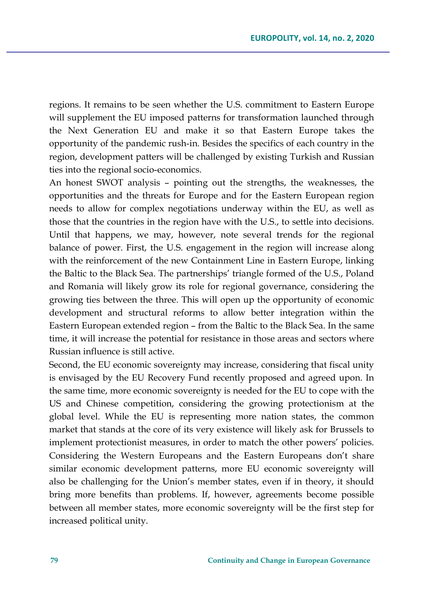regions. It remains to be seen whether the U.S. commitment to Eastern Europe will supplement the EU imposed patterns for transformation launched through the Next Generation EU and make it so that Eastern Europe takes the opportunity of the pandemic rush-in. Besides the specifics of each country in the region, development patters will be challenged by existing Turkish and Russian ties into the regional socio-economics.

An honest SWOT analysis – pointing out the strengths, the weaknesses, the opportunities and the threats for Europe and for the Eastern European region needs to allow for complex negotiations underway within the EU, as well as those that the countries in the region have with the U.S., to settle into decisions. Until that happens, we may, however, note several trends for the regional balance of power. First, the U.S. engagement in the region will increase along with the reinforcement of the new Containment Line in Eastern Europe, linking the Baltic to the Black Sea. The partnerships' triangle formed of the U.S., Poland and Romania will likely grow its role for regional governance, considering the growing ties between the three. This will open up the opportunity of economic development and structural reforms to allow better integration within the Eastern European extended region – from the Baltic to the Black Sea. In the same time, it will increase the potential for resistance in those areas and sectors where Russian influence is still active.

Second, the EU economic sovereignty may increase, considering that fiscal unity is envisaged by the EU Recovery Fund recently proposed and agreed upon. In the same time, more economic sovereignty is needed for the EU to cope with the US and Chinese competition, considering the growing protectionism at the global level. While the EU is representing more nation states, the common market that stands at the core of its very existence will likely ask for Brussels to implement protectionist measures, in order to match the other powers' policies. Considering the Western Europeans and the Eastern Europeans don't share similar economic development patterns, more EU economic sovereignty will also be challenging for the Union's member states, even if in theory, it should bring more benefits than problems. If, however, agreements become possible between all member states, more economic sovereignty will be the first step for increased political unity.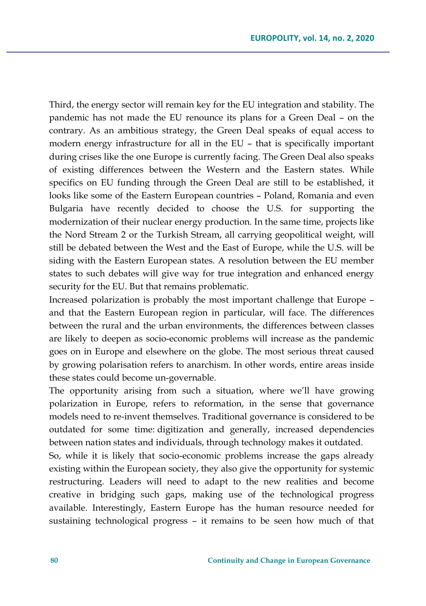Third, the energy sector will remain key for the EU integration and stability. The pandemic has not made the EU renounce its plans for a Green Deal – on the contrary. As an ambitious strategy, the Green Deal speaks of equal access to modern energy infrastructure for all in the EU – that is specifically important during crises like the one Europe is currently facing. The Green Deal also speaks of existing differences between the Western and the Eastern states. While specifics on EU funding through the Green Deal are still to be established, it looks like some of the Eastern European countries – Poland, Romania and even Bulgaria have recently decided to choose the U.S. for supporting the modernization of their nuclear energy production. In the same time, projects like the Nord Stream 2 or the Turkish Stream, all carrying geopolitical weight, will still be debated between the West and the East of Europe, while the U.S. will be siding with the Eastern European states. A resolution between the EU member states to such debates will give way for true integration and enhanced energy security for the EU. But that remains problematic.

Increased polarization is probably the most important challenge that Europe – and that the Eastern European region in particular, will face. The differences between the rural and the urban environments, the differences between classes are likely to deepen as socio-economic problems will increase as the pandemic goes on in Europe and elsewhere on the globe. The most serious threat caused by growing polarisation refers to anarchism. In other words, entire areas inside these states could become un-governable.

The opportunity arising from such a situation, where we'll have growing polarization in Europe, refers to reformation, in the sense that governance models need to re-invent themselves. Traditional governance is considered to be outdated for some time: digitization and generally, increased dependencies between nation states and individuals, through technology makes it outdated.

So, while it is likely that socio-economic problems increase the gaps already existing within the European society, they also give the opportunity for systemic restructuring. Leaders will need to adapt to the new realities and become creative in bridging such gaps, making use of the technological progress available. Interestingly, Eastern Europe has the human resource needed for sustaining technological progress – it remains to be seen how much of that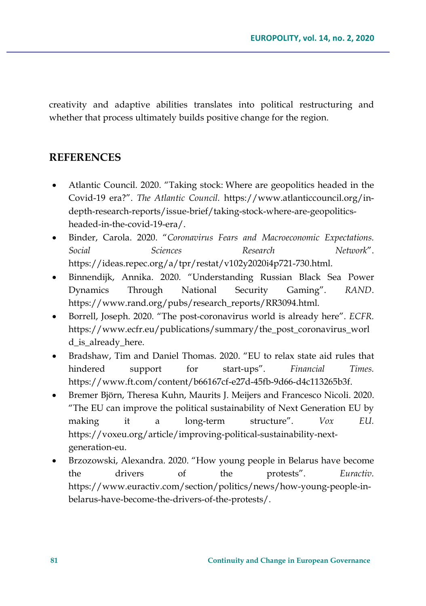creativity and adaptive abilities translates into political restructuring and whether that process ultimately builds positive change for the region.

### **REFERENCES**

- Atlantic Council. 2020. "Taking stock: Where are geopolitics headed in the Covid-19 era?". *The Atlantic Council.* [https://www.atlanticcouncil.org/in](https://www.atlanticcouncil.org/in-depth-research-reports/issue-brief/taking-stock-where-are-geopolitics-headed-in-the-covid-19-era/)depth-research-[reports/issue](https://www.atlanticcouncil.org/in-depth-research-reports/issue-brief/taking-stock-where-are-geopolitics-headed-in-the-covid-19-era/)-brief/taking-stock-where-are-geopolitics[headed](https://www.atlanticcouncil.org/in-depth-research-reports/issue-brief/taking-stock-where-are-geopolitics-headed-in-the-covid-19-era/)-in-the-covid-19-era/.
- Binder, Carola. 2020. "*Coronavirus Fears and Macroeconomic Expectations. Social Sciences Research Network*". [https://ideas.repec.org/a/tpr/restat/v102y2020i4p721](https://ideas.repec.org/a/tpr/restat/v102y2020i4p721-730.html)-730.html.
- Binnendijk, Annika. 2020. "Understanding Russian Black Sea Power Dynamics Through National Security Gaming". *RAND*. [https://www.rand.org/pubs/research\\_reports/RR3094.html](https://www.rand.org/pubs/research_reports/RR3094.html).
- Borrell, Joseph. 2020. "The post-coronavirus world is already here". *ECFR.*  [https://www.ecfr.eu/publications/summary/the\\_post\\_coronavirus\\_worl](https://www.ecfr.eu/publications/summary/the_post_coronavirus_world_is_already_here) d is already here.
- Bradshaw, Tim and Daniel Thomas. 2020. "EU to relax state aid rules that hindered support for start-ups". *Financial Times.*  [https://www.ft.com/content/b66167cf](https://www.ft.com/content/b66167cf-e27d-45fb-9d66-d4c113265b3f)-e27d-45fb-9d66-d4c113265b3f.
- Bremer Björn, Theresa Kuhn, Maurits J. Meijers and Francesco Nicoli. 2020. "The EU can improve the political sustainability of Next Generation EU by making it a long-term structure". *Vox EU.*  [https://voxeu.org/article/improving](https://voxeu.org/article/improving-political-sustainability-next-generation-eu)-political-sustainability-next[generation](https://voxeu.org/article/improving-political-sustainability-next-generation-eu)-eu.
- Brzozowski, Alexandra. 2020. "How young people in Belarus have become the drivers of the protests". *Euractiv.*  [https://www.euractiv.com/section/politics/news/how](https://www.euractiv.com/section/politics/news/how-young-people-in-belarus-have-become-the-drivers-of-the-protests/)-young-people-inbelarus-have-become-the-drivers-of-the-[protests/](https://www.euractiv.com/section/politics/news/how-young-people-in-belarus-have-become-the-drivers-of-the-protests/).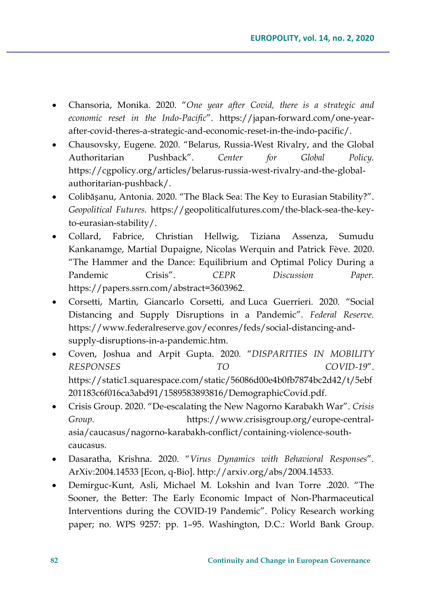- Chansoria, Monika. 2020. "*One year after Covid, there is a strategic and economic reset in the Indo-Pacific*". https://japan-[forward.com/one](https://japan-forward.com/one-year-after-covid-theres-a-strategic-and-economic-reset-in-the-indo-pacific/)-yearafter-covid-theres-a-strategic-and-[economic](https://japan-forward.com/one-year-after-covid-theres-a-strategic-and-economic-reset-in-the-indo-pacific/)-reset-in-the-indo-pacific/.
- Chausovsky, Eugene. 2020. "Belarus, Russia-West Rivalry, and the Global Authoritarian Pushback". *Center for Global Policy.*  [https://cgpolicy.org/articles/belarus](https://cgpolicy.org/articles/belarus-russia-west-rivalry-and-the-global-authoritarian-pushback/)-russia-west-rivalry-and-the-global[authoritarian](https://cgpolicy.org/articles/belarus-russia-west-rivalry-and-the-global-authoritarian-pushback/)-pushback/.
- Colibășanu, Antonia. 2020. "The Black Sea: The Key to Eurasian Stability?". *Geopolitical Futures.* [https://geopoliticalfutures.com/the](https://geopoliticalfutures.com/the-black-sea-the-key-to-eurasian-stability/)-black-sea-the-keyto-eurasian-[stability/](https://geopoliticalfutures.com/the-black-sea-the-key-to-eurasian-stability/).
- Collard, Fabrice, Christian Hellwig, Tiziana Assenza, Sumudu Kankanamge, Martial Dupaigne, Nicolas Werquin and Patrick Fève. 2020. "The Hammer and the Dance: Equilibrium and Optimal Policy During a Pandemic Crisis". *CEPR Discussion Paper.* <https://papers.ssrn.com/abstract=3603962>.
- Corsetti, Martin, Giancarlo Corsetti, and Luca Guerrieri. 2020. "Social Distancing and Supply Disruptions in a Pandemic". *Federal Reserve.*  [https://www.federalreserve.gov/econres/feds/social](https://www.federalreserve.gov/econres/feds/social-distancing-and-supply-disruptions-in-a-pandemic.htm)-distancing-andsupply-disruptions-in-a-[pandemic.htm](https://www.federalreserve.gov/econres/feds/social-distancing-and-supply-disruptions-in-a-pandemic.htm).
- Coven, Joshua and Arpit Gupta. 2020. "*DISPARITIES IN MOBILITY RESPONSES TO COVID-19*". [https://static1.squarespace.com/static/56086d00e4b0fb7874bc2d42/t/5ebf](https://static1.squarespace.com/static/56086d00e4b0fb7874bc2d42/t/5ebf201183c6f016ca3abd91/1589583893816/DemographicCovid.pdf) [201183c6f016ca3abd91/1589583893816/DemographicCovid.pdf](https://static1.squarespace.com/static/56086d00e4b0fb7874bc2d42/t/5ebf201183c6f016ca3abd91/1589583893816/DemographicCovid.pdf).
- Crisis Group. 2020. "De-escalating the New Nagorno Karabakh War". *Crisis Group.* [https://www.crisisgroup.org/europe](https://www.crisisgroup.org/europe-central-asia/caucasus/nagorno-karabakh-conflict/containing-violence-south-caucasus)-central[asia/caucasus/nagorno](https://www.crisisgroup.org/europe-central-asia/caucasus/nagorno-karabakh-conflict/containing-violence-south-caucasus)-karabakh-conflict/containing-violence-south[caucasus](https://www.crisisgroup.org/europe-central-asia/caucasus/nagorno-karabakh-conflict/containing-violence-south-caucasus).
- Dasaratha, Krishna. 2020. "*Virus Dynamics with Behavioral Responses*". ArXiv:2004.14533 [Econ, q-Bio]. <http://arxiv.org/abs/2004.14533>.
- Demirguc-Kunt, Asli, Michael M. Lokshin and Ivan Torre .2020. "The Sooner, the Better: The Early Economic Impact of Non-Pharmaceutical Interventions during the COVID-19 Pandemic". Policy Research working paper; no. WPS 9257: pp. 1–95. Washington, D.C.: World Bank Group.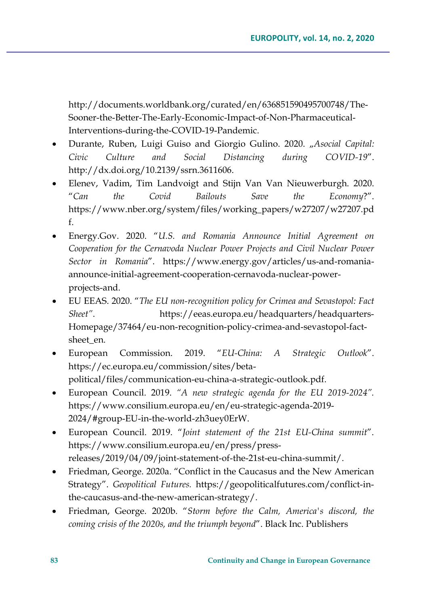[http://documents.worldbank.org/curated/en/636851590495700748/The](http://documents.worldbank.org/curated/en/636851590495700748/The-Sooner-the-Better-The-Early-Economic-Impact-of-Non-Pharmaceutical-Interventions-during-the-COVID-19-Pandemic)-Sooner-the-Better-The-Early-Economic-Impact-of-Non-[Pharmaceutical](http://documents.worldbank.org/curated/en/636851590495700748/The-Sooner-the-Better-The-Early-Economic-Impact-of-Non-Pharmaceutical-Interventions-during-the-COVID-19-Pandemic)-[Interventions](http://documents.worldbank.org/curated/en/636851590495700748/The-Sooner-the-Better-The-Early-Economic-Impact-of-Non-Pharmaceutical-Interventions-during-the-COVID-19-Pandemic)-during-the-COVID-19-Pandemic.

- Durante, Ruben, Luigi Guiso and Giorgio Gulino. 2020. "Asocial Capital: *Civic Culture and Social Distancing during COVID-19*". <http://dx.doi.org/10.2139/ssrn.3611606.>
- Elenev, Vadim, Tim Landvoigt and Stijn Van Van Nieuwerburgh. 2020. "*Can the Covid Bailouts Save the Economy*?". [https://www.nber.org/system/files/working\\_papers/w27207/w27207.pd](https://www.nber.org/system/files/working_papers/w27207/w27207.pdf) [f](https://www.nber.org/system/files/working_papers/w27207/w27207.pdf).
- Energy.Gov. 2020. "*U.S. and Romania Announce Initial Agreement on Cooperation for the Cernavoda Nuclear Power Projects and Civil Nuclear Power Sector in Romania*". [https://www.energy.gov/articles/us](https://www.energy.gov/articles/us-and-romania-announce-initial-agreement-cooperation-cernavoda-nuclear-power-projects-and)-and-romaniaannounce-initial-agreement-[cooperation](https://www.energy.gov/articles/us-and-romania-announce-initial-agreement-cooperation-cernavoda-nuclear-power-projects-and)-cernavoda-nuclear-power[projects](https://www.energy.gov/articles/us-and-romania-announce-initial-agreement-cooperation-cernavoda-nuclear-power-projects-and)-and.
- EU EEAS. 2020. "*The EU non-recognition policy for Crimea and Sevastopol: Fact Sheet"*. [https://eeas.europa.eu/headquarters/headquarters](https://eeas.europa.eu/headquarters/headquarters-Homepage/37464/eu-non-recognition-policy-crimea-and-sevastopol-fact-sheet_en)-[Homepage/37464/eu](https://eeas.europa.eu/headquarters/headquarters-Homepage/37464/eu-non-recognition-policy-crimea-and-sevastopol-fact-sheet_en)-non-recognition-policy-crimea-and-sevastopol-factsheet en.
- European Commission. 2019. "*EU-China: A Strategic Outlook*". [https://ec.europa.eu/commission/sites/beta](https://ec.europa.eu/commission/sites/beta-political/files/communication-eu-china-a-strategic-outlook.pdf)[political/files/communication](https://ec.europa.eu/commission/sites/beta-political/files/communication-eu-china-a-strategic-outlook.pdf)-eu-china-a-strategic-outlook.pdf.
- European Council. 2019. *"A new strategic agenda for the EU 2019-2024".*  [https://www.consilium.europa.eu/en/eu](https://www.consilium.europa.eu/en/eu-strategic-agenda-2019-2024/#group-EU-in-the-world-zh3uey0ErW)-strategic-agenda-2019- [2024/#group](https://www.consilium.europa.eu/en/eu-strategic-agenda-2019-2024/#group-EU-in-the-world-zh3uey0ErW)-EU-in-the-world-zh3uey0ErW.
- European Council. 2019. "*Joint statement of the 21st EU-China summit*". [https://www.consilium.europa.eu/en/press/press](https://www.consilium.europa.eu/en/press/press-releases/2019/04/09/joint-statement-of-the-21st-eu-china-summit/)[releases/2019/04/09/joint](https://www.consilium.europa.eu/en/press/press-releases/2019/04/09/joint-statement-of-the-21st-eu-china-summit/)-statement-of-the-21st-eu-china-summit/.
- Friedman, George. 2020a. "Conflict in the Caucasus and the New American Strategy". *Geopolitical Futures.* [https://geopoliticalfutures.com/conflict](https://geopoliticalfutures.com/conflict-in-the-caucasus-and-the-new-american-strategy/)-inthe-caucasus-and-the-new-american-[strategy/](https://geopoliticalfutures.com/conflict-in-the-caucasus-and-the-new-american-strategy/).
- Friedman, George. 2020b. "*Storm before the Calm, America's discord, the coming crisis of the 2020s, and the triumph beyond*". Black Inc. Publishers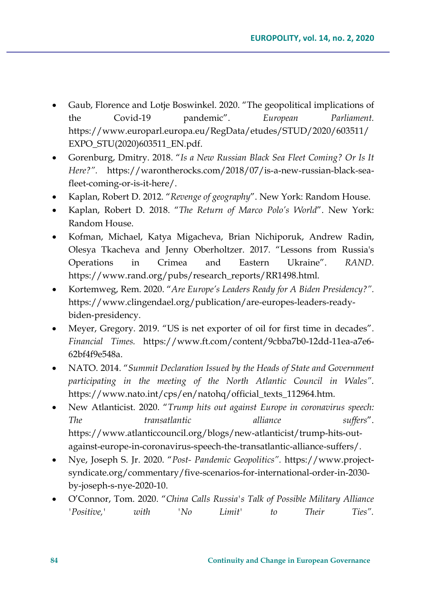- Gaub, Florence and Lotje Boswinkel. 2020. "The geopolitical implications of the Covid-19 pandemic". *European Parliament.*  [https://www.europarl.europa.eu/RegData/etudes/STUD/2020/603511/](https://www.europarl.europa.eu/RegData/etudes/STUD/2020/603511/EXPO_STU(2020)603511_EN.pdf) [EXPO\\_STU\(2020\)603511\\_EN.pdf](https://www.europarl.europa.eu/RegData/etudes/STUD/2020/603511/EXPO_STU(2020)603511_EN.pdf).
- Gorenburg, Dmitry. 2018. "*Is a New Russian Black Sea Fleet Coming? Or Is It Here?".* [https://warontherocks.com/2018/07/is](https://warontherocks.com/2018/07/is-a-new-russian-black-sea-fleet-coming-or-is-it-here/)-a-new-russian-black-seafleet-[coming](https://warontherocks.com/2018/07/is-a-new-russian-black-sea-fleet-coming-or-is-it-here/)-or-is-it-here/.
- Kaplan, Robert D. 2012. "*Revenge of geography*". New York: Random House.
- Kaplan, Robert D. 2018. "*The Return of Marco Polo's World*". New York: Random House.
- Kofman, Michael, Katya Migacheva, Brian Nichiporuk, Andrew Radin, Olesya Tkacheva and Jenny Oberholtzer. 2017. "Lessons from Russia's Operations in Crimea and Eastern Ukraine". *RAND.*  [https://www.rand.org/pubs/research\\_reports/RR1498.html](https://www.rand.org/pubs/research_reports/RR1498.html).
- Kortemweg, Rem. 2020. "*Are Europe's Leaders Ready for A Biden Presidency?".* [https://www.clingendael.org/publication/are](https://www.clingendael.org/publication/are-europes-leaders-ready-biden-presidency)-europes-leaders-readybiden-[presidency](https://www.clingendael.org/publication/are-europes-leaders-ready-biden-presidency).
- Meyer, Gregory. 2019. "US is net exporter of oil for first time in decades". *Financial Times.* https://www.ft.com/content/9cbba7b0-12dd-11ea-a7e6- 62bf4f9e548a.
- NATO. 2014. "*Summit Declaration Issued by the Heads of State and Government participating in the meeting of the North Atlantic Council in Wales"*. [https://www.nato.int/cps/en/natohq/official\\_texts\\_112964.htm](https://www.nato.int/cps/en/natohq/official_texts_112964.htm).
- New Atlanticist. 2020. "*Trump hits out against Europe in coronavirus speech: The transatlantic alliance suffers*". [https://www.atlanticcouncil.org/blogs/new](https://www.atlanticcouncil.org/blogs/new-atlanticist/trump-hits-out-against-europe-in-coronavirus-speech-the-transatlantic-alliance-suffers/)-atlanticist/trump-hits-outagainst-europe-in-coronavirus-speech-the-[transatlantic](https://www.atlanticcouncil.org/blogs/new-atlanticist/trump-hits-out-against-europe-in-coronavirus-speech-the-transatlantic-alliance-suffers/)-alliance-suffers/.
- Nye, Joseph S. Jr. 2020. "*Post- Pandemic Geopolitics".* [https://www.project](https://www.project-syndicate.org/commentary/five-scenarios-for-international-order-in-2030-by-joseph-s-nye-2020-10?barrier=accesspaylog)[syndicate.org/commentary/five](https://www.project-syndicate.org/commentary/five-scenarios-for-international-order-in-2030-by-joseph-s-nye-2020-10?barrier=accesspaylog)-scenarios-for-international-order-in-2030 by-joseph-s-nye[-2020-10.](https://www.project-syndicate.org/commentary/five-scenarios-for-international-order-in-2030-by-joseph-s-nye-2020-10?barrier=accesspaylog)
- O'Connor, Tom. 2020. "*China Calls Russia's Talk of Possible Military Alliance 'Positive,' with 'No Limit' to Their Ties".*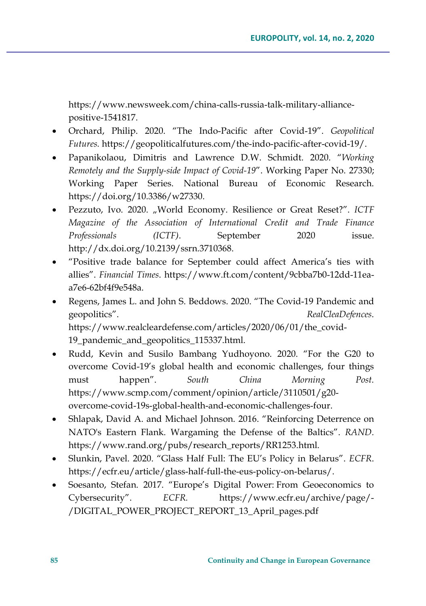h[ttps://www.newsweek.com/china](https://www.newsweek.com/china-calls-russia-talk-military-alliance-positive-1541817)-calls-russia-talk-military-alliance[positive](https://www.newsweek.com/china-calls-russia-talk-military-alliance-positive-1541817)-1541817.

- Orchard, Philip. 2020. "The Indo-Pacific after Covid-19". *Geopolitical Futures.* [https://geopoliticalfutures.com/the](https://geopoliticalfutures.com/the-indo-pacific-after-covid-19/)-indo-pacific-after-covid-19/.
- Papanikolaou, Dimitris and Lawrence D.W. Schmidt. 2020. "*Working Remotely and the Supply-side Impact of Covid-19*". Working Paper No. 27330; Working Paper Series. National Bureau of Economic Research. <https://doi.org/10.3386/w27330>.
- Pezzuto, Ivo. 2020. "World Economy. Resilience or Great Reset?". *ICTF Magazine of the Association of International Credit and Trade Finance Professionals (ICTF)*. September 2020 issue. http://dx.doi.org/10.2139/ssrn.3710368.
- "Positive trade balance for September could affect America's ties with allies". *Financial Times*. [https://www.ft.com/content/9cbba7b0](https://www.ft.com/content/9cbba7b0-12dd-11ea-a7e6-62bf4f9e548a)-12dd-11eaa7e6-[62bf4f9e548a](https://www.ft.com/content/9cbba7b0-12dd-11ea-a7e6-62bf4f9e548a).
- Regens, James L. and John S. Beddows. 2020. "The Covid-19 Pandemic and geopolitics". *RealCleaDefences*. [https://www.realcleardefense.com/articles/2020/06/01/the\\_covid](https://www.realcleardefense.com/articles/2020/06/01/the_covid-19_pandemic_and_geopolitics_115337.html)-[19\\_pandemic\\_and\\_geopolitics\\_115337.html](https://www.realcleardefense.com/articles/2020/06/01/the_covid-19_pandemic_and_geopolitics_115337.html).
- Rudd, Kevin and Susilo Bambang Yudhoyono. 2020. "For the G20 to overcome Covid-19's global health and economic challenges, four things must happen". *South China Morning Post.*  [https://www.scmp.com/comment/opinion/article/3110501/g20](https://www.scmp.com/comment/opinion/article/3110501/g20-overcome-covid-19s-global-health-and-economic-challenges-four) overcome-covid-19s-global-health-and-economic-[challenges](https://www.scmp.com/comment/opinion/article/3110501/g20-overcome-covid-19s-global-health-and-economic-challenges-four)-four.
- Shlapak, David A. and Michael Johnson. 2016. "Reinforcing Deterrence on NATO's Eastern Flank. Wargaming the Defense of the Baltics". *RAND.*  [https://www.rand.org/pubs/research\\_reports/RR1253.html](https://www.rand.org/pubs/research_reports/RR1253.html).
- Slunkin, Pavel. 2020. "Glass Half Full: The EU's Policy in Belarus". *ECFR*. [https://ecfr.eu/article/glass](https://ecfr.eu/article/glass-half-full-the-eus-policy-on-belarus/)-half-full-the-eus-policy-on-belarus/.
- Soesanto, Stefan. 2017. "Europe's Digital Power: From Geoeconomics to Cybersecurity". *ECFR.* [https://www.ecfr.eu/archive/page/](https://www.ecfr.eu/archive/page/-/DIGITAL_POWER_PROJECT_REPORT_13_April_pages.pdf)- [/DIGITAL\\_POWER\\_PROJECT\\_REPORT\\_13\\_April\\_pages.pdf](https://www.ecfr.eu/archive/page/-/DIGITAL_POWER_PROJECT_REPORT_13_April_pages.pdf)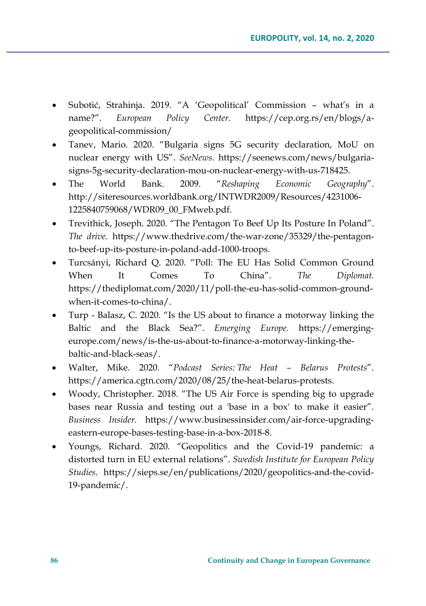- Subotić, Strahinja. 2019. "A 'Geopolitical' Commission what's in a name?". *European Policy Center.* [https://cep.org.rs/en/blogs/a](https://cep.org.rs/en/blogs/a-geopolitical-commission/)geopolitical-[commission/](https://cep.org.rs/en/blogs/a-geopolitical-commission/)
- Tanev, Mario. 2020. "Bulgaria signs 5G security declaration, MoU on nuclear energy with US". *SeeNews.* [https://seenews.com/news/bulgaria](https://seenews.com/news/bulgaria-signs-5g-security-declaration-mou-on-nuclear-energy-with-us-718425)signs-5g-security-[declaration](https://seenews.com/news/bulgaria-signs-5g-security-declaration-mou-on-nuclear-energy-with-us-718425)-mou-on-nuclear-energy-with-us-718425.
- The World Bank. 2009. "*Reshaping Economic Geography*". [http://siteresources.worldbank.org/INTWDR2009/Resources/4231006](http://siteresources.worldbank.org/INTWDR2009/Resources/4231006-1225840759068/WDR09_00_FMweb.pdf)- [1225840759068/WDR09\\_00\\_FMweb.pdf](http://siteresources.worldbank.org/INTWDR2009/Resources/4231006-1225840759068/WDR09_00_FMweb.pdf).
- Trevithick, Joseph. 2020. "The Pentagon To Beef Up Its Posture In Poland". *The drive.* [https://www.thedrive.com/the](https://www.thedrive.com/the-war-zone/35329/the-pentagon-to-beef-up-its-posture-in-poland-add-1000-troops)-war-zone/35329/the-pentagonto-beef-up-its-posture-in-poland[-add-1000-](https://www.thedrive.com/the-war-zone/35329/the-pentagon-to-beef-up-its-posture-in-poland-add-1000-troops)troops.
- Turcsányi, Richard Q. 2020. "Poll: The EU Has Solid Common Ground When It Comes To China". *The Diplomat.*  [https://thediplomat.com/2020/11/poll](https://thediplomat.com/2020/11/poll-the-eu-has-solid-common-ground-when-it-comes-to-china/)-the-eu-has-solid-common-groundwhen-it-comes-to-[china/](https://thediplomat.com/2020/11/poll-the-eu-has-solid-common-ground-when-it-comes-to-china/).
- Turp Balasz, C. 2020. "Is the US about to finance a motorway linking the Baltic and the Black Sea?". *Emerging Europe.* [https://emerging](https://emerging-europe.com/news/is-the-us-about-to-finance-a-motorway-linking-the-baltic-and-black-seas/)[europe.com/news/is](https://emerging-europe.com/news/is-the-us-about-to-finance-a-motorway-linking-the-baltic-and-black-seas/)-the-us-about-to-finance-a-motorway-linking-thebaltic-and-black-[seas/](https://emerging-europe.com/news/is-the-us-about-to-finance-a-motorway-linking-the-baltic-and-black-seas/).
- Walter, Mike. 2020. "*Podcast Series: The Heat – Belarus Protests*". [https://america.cgtn.com/2020/08/25/the](https://america.cgtn.com/2020/08/25/the-heat-belarus-protests)-heat-belarus-protests.
- Woody, Christopher. 2018. "The US Air Force is spending big to upgrade bases near Russia and testing out a 'base in a box' to make it easier". *Business Insider.* [https://www.businessinsider.com/air](https://www.businessinsider.com/air-force-upgrading-eastern-europe-bases-testing-base-in-a-box-2018-8)-force-upgrading[eastern](https://www.businessinsider.com/air-force-upgrading-eastern-europe-bases-testing-base-in-a-box-2018-8)-europe-bases-testing-base-in-a-box-2018-8.
- Youngs, Richard. 2020. "Geopolitics and the Covid-19 pandemic: a distorted turn in EU external relations". *Swedish Institute for European Policy Studies*. [https://sieps.se/en/publications/2020/geopolitics](https://sieps.se/en/publications/2020/geopolitics-and-the-covid-19-pandemic/)-and-the-covid-19-[pandemic/](https://sieps.se/en/publications/2020/geopolitics-and-the-covid-19-pandemic/).